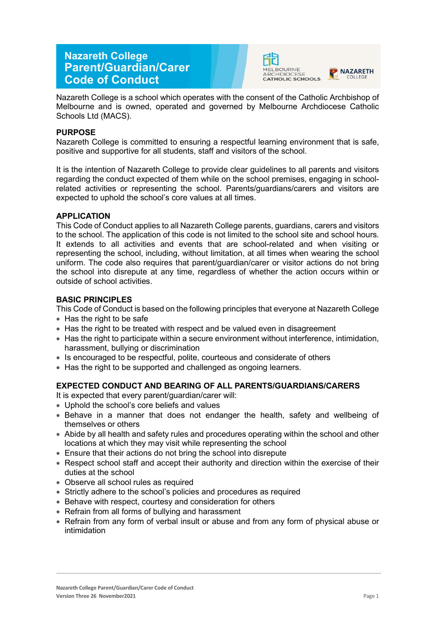# **Nazareth College Parent/Guardian/Carer Code of Conduct**





Nazareth College is a school which operates with the consent of the Catholic Archbishop of Melbourne and is owned, operated and governed by Melbourne Archdiocese Catholic Schools Ltd (MACS).

# **PURPOSE**

Nazareth College is committed to ensuring a respectful learning environment that is safe, positive and supportive for all students, staff and visitors of the school.

It is the intention of Nazareth College to provide clear guidelines to all parents and visitors regarding the conduct expected of them while on the school premises, engaging in schoolrelated activities or representing the school. Parents/guardians/carers and visitors are expected to uphold the school's core values at all times.

#### **APPLICATION**

This Code of Conduct applies to all Nazareth College parents, guardians, carers and visitors to the school. The application of this code is not limited to the school site and school hours. It extends to all activities and events that are school-related and when visiting or representing the school, including, without limitation, at all times when wearing the school uniform. The code also requires that parent/guardian/carer or visitor actions do not bring the school into disrepute at any time, regardless of whether the action occurs within or outside of school activities.

#### **BASIC PRINCIPLES**

This Code of Conduct is based on the following principles that everyone at Nazareth College

- Has the right to be safe
- Has the right to be treated with respect and be valued even in disagreement
- Has the right to participate within a secure environment without interference, intimidation, harassment, bullying or discrimination
- Is encouraged to be respectful, polite, courteous and considerate of others
- Has the right to be supported and challenged as ongoing learners.

# **EXPECTED CONDUCT AND BEARING OF ALL PARENTS/GUARDIANS/CARERS**

It is expected that every parent/guardian/carer will:

- Uphold the school's core beliefs and values
- Behave in a manner that does not endanger the health, safety and wellbeing of themselves or others
- Abide by all health and safety rules and procedures operating within the school and other locations at which they may visit while representing the school
- Ensure that their actions do not bring the school into disrepute
- Respect school staff and accept their authority and direction within the exercise of their duties at the school
- Observe all school rules as required
- Strictly adhere to the school's policies and procedures as required
- Behave with respect, courtesy and consideration for others
- Refrain from all forms of bullying and harassment
- Refrain from any form of verbal insult or abuse and from any form of physical abuse or intimidation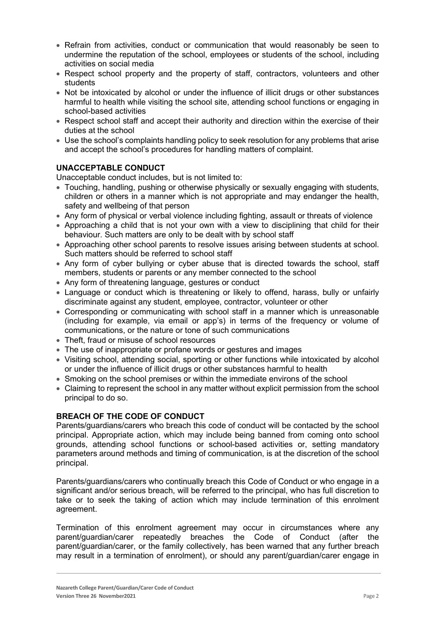- Refrain from activities, conduct or communication that would reasonably be seen to undermine the reputation of the school, employees or students of the school, including activities on social media
- Respect school property and the property of staff, contractors, volunteers and other students
- Not be intoxicated by alcohol or under the influence of illicit drugs or other substances harmful to health while visiting the school site, attending school functions or engaging in school-based activities
- Respect school staff and accept their authority and direction within the exercise of their duties at the school
- Use the school's complaints handling policy to seek resolution for any problems that arise and accept the school's procedures for handling matters of complaint.

# **UNACCEPTABLE CONDUCT**

Unacceptable conduct includes, but is not limited to:

- Touching, handling, pushing or otherwise physically or sexually engaging with students, children or others in a manner which is not appropriate and may endanger the health, safety and wellbeing of that person
- Any form of physical or verbal violence including fighting, assault or threats of violence
- Approaching a child that is not your own with a view to disciplining that child for their behaviour. Such matters are only to be dealt with by school staff
- Approaching other school parents to resolve issues arising between students at school. Such matters should be referred to school staff
- Any form of cyber bullying or cyber abuse that is directed towards the school, staff members, students or parents or any member connected to the school
- Any form of threatening language, gestures or conduct
- Language or conduct which is threatening or likely to offend, harass, bully or unfairly discriminate against any student, employee, contractor, volunteer or other
- Corresponding or communicating with school staff in a manner which is unreasonable (including for example, via email or app's) in terms of the frequency or volume of communications, or the nature or tone of such communications
- Theft, fraud or misuse of school resources
- The use of inappropriate or profane words or gestures and images
- Visiting school, attending social, sporting or other functions while intoxicated by alcohol or under the influence of illicit drugs or other substances harmful to health
- Smoking on the school premises or within the immediate environs of the school
- Claiming to represent the school in any matter without explicit permission from the school principal to do so.

# **BREACH OF THE CODE OF CONDUCT**

Parents/guardians/carers who breach this code of conduct will be contacted by the school principal. Appropriate action, which may include being banned from coming onto school grounds, attending school functions or school-based activities or, setting mandatory parameters around methods and timing of communication, is at the discretion of the school principal.

Parents/guardians/carers who continually breach this Code of Conduct or who engage in a significant and/or serious breach, will be referred to the principal, who has full discretion to take or to seek the taking of action which may include termination of this enrolment agreement.

Termination of this enrolment agreement may occur in circumstances where any parent/guardian/carer repeatedly breaches the Code of Conduct (after the parent/guardian/carer, or the family collectively, has been warned that any further breach may result in a termination of enrolment), or should any parent/guardian/carer engage in